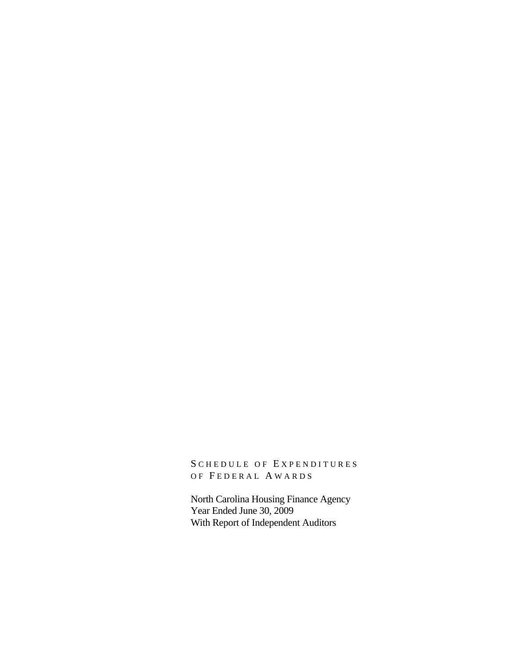### SCHEDULE OF EXPENDITURES OF FEDERAL AWARDS

North Carolina Housing Finance Agency Year Ended June 30, 2009 With Report of Independent Auditors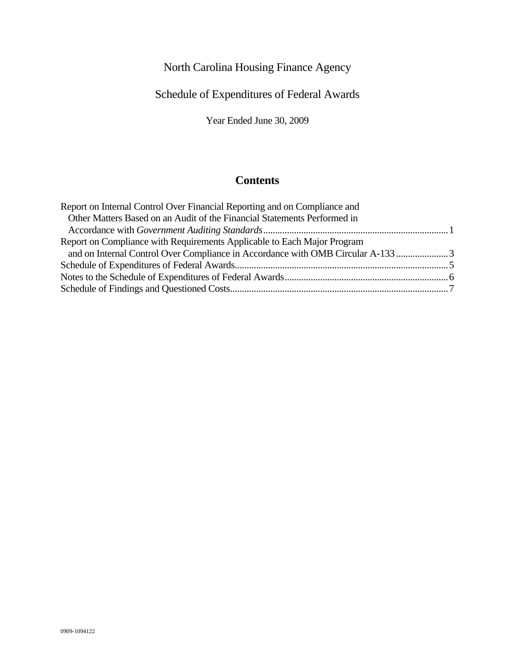Schedule of Expenditures of Federal Awards

Year Ended June 30, 2009

## **Contents**

| Report on Internal Control Over Financial Reporting and on Compliance and     |  |
|-------------------------------------------------------------------------------|--|
| Other Matters Based on an Audit of the Financial Statements Performed in      |  |
|                                                                               |  |
| Report on Compliance with Requirements Applicable to Each Major Program       |  |
| and on Internal Control Over Compliance in Accordance with OMB Circular A-133 |  |
|                                                                               |  |
|                                                                               |  |
|                                                                               |  |
|                                                                               |  |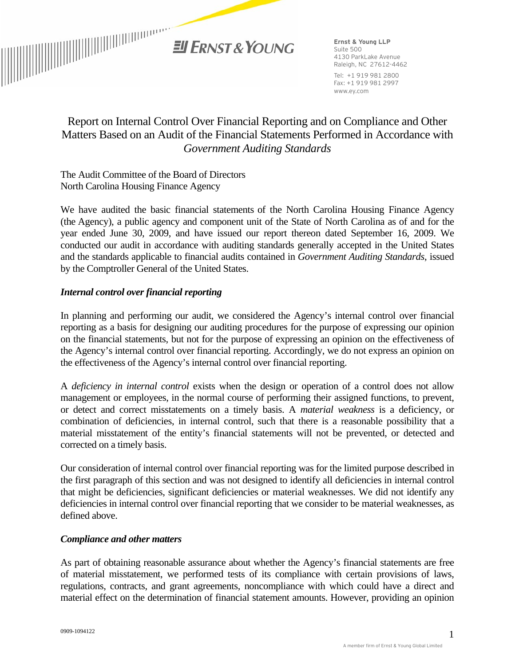

**Ernst & Young LLP**  Suite 500 4130 ParkLake Avenue Raleigh, NC 27612-4462 Tel: +1 919 981 2800 Fax: +1 919 981 2997 www.ey.com

## Report on Internal Control Over Financial Reporting and on Compliance and Other Matters Based on an Audit of the Financial Statements Performed in Accordance with *Government Auditing Standards*

The Audit Committee of the Board of Directors North Carolina Housing Finance Agency

We have audited the basic financial statements of the North Carolina Housing Finance Agency (the Agency), a public agency and component unit of the State of North Carolina as of and for the year ended June 30, 2009, and have issued our report thereon dated September 16, 2009. We conducted our audit in accordance with auditing standards generally accepted in the United States and the standards applicable to financial audits contained in *Government Auditing Standards*, issued by the Comptroller General of the United States.

#### *Internal control over financial reporting*

In planning and performing our audit, we considered the Agency's internal control over financial reporting as a basis for designing our auditing procedures for the purpose of expressing our opinion on the financial statements, but not for the purpose of expressing an opinion on the effectiveness of the Agency's internal control over financial reporting. Accordingly, we do not express an opinion on the effectiveness of the Agency's internal control over financial reporting.

A *deficiency in internal control* exists when the design or operation of a control does not allow management or employees, in the normal course of performing their assigned functions, to prevent, or detect and correct misstatements on a timely basis. A *material weakness* is a deficiency, or combination of deficiencies, in internal control, such that there is a reasonable possibility that a material misstatement of the entity's financial statements will not be prevented, or detected and corrected on a timely basis.

Our consideration of internal control over financial reporting was for the limited purpose described in the first paragraph of this section and was not designed to identify all deficiencies in internal control that might be deficiencies, significant deficiencies or material weaknesses. We did not identify any deficiencies in internal control over financial reporting that we consider to be material weaknesses, as defined above.

#### *Compliance and other matters*

As part of obtaining reasonable assurance about whether the Agency's financial statements are free of material misstatement, we performed tests of its compliance with certain provisions of laws, regulations, contracts, and grant agreements, noncompliance with which could have a direct and material effect on the determination of financial statement amounts. However, providing an opinion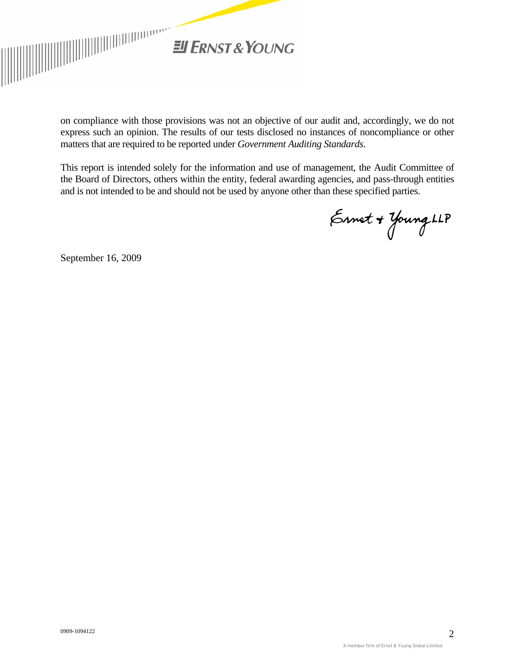

on compliance with those provisions was not an objective of our audit and, accordingly, we do not express such an opinion. The results of our tests disclosed no instances of noncompliance or other matters that are required to be reported under *Government Auditing Standards*.

This report is intended solely for the information and use of management, the Audit Committee of the Board of Directors, others within the entity, federal awarding agencies, and pass-through entities and is not intended to be and should not be used by anyone other than these specified parties.

Ennet + Young LLP

September 16, 2009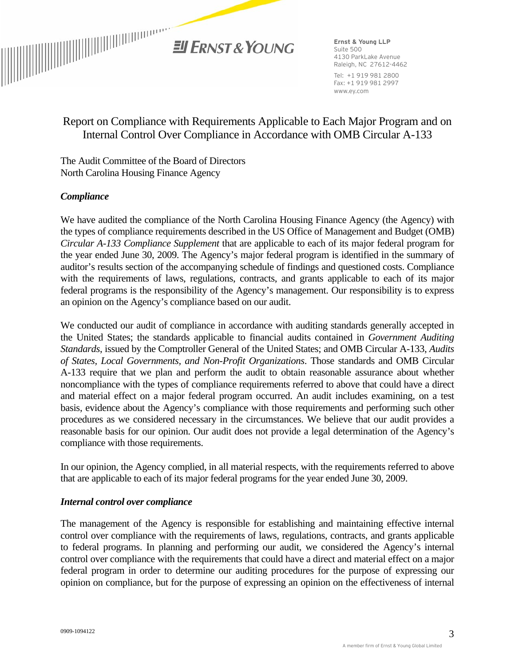

**Ernst & Young LLP**  Suite 500 4130 ParkLake Avenue Raleigh, NC 27612-4462 Tel: +1 919 981 2800 Fax: +1 919 981 2997 www.ey.com

## Report on Compliance with Requirements Applicable to Each Major Program and on Internal Control Over Compliance in Accordance with OMB Circular A-133

The Audit Committee of the Board of Directors North Carolina Housing Finance Agency

#### *Compliance*

We have audited the compliance of the North Carolina Housing Finance Agency (the Agency) with the types of compliance requirements described in the US Office of Management and Budget (OMB) *Circular A-133 Compliance Supplement* that are applicable to each of its major federal program for the year ended June 30, 2009. The Agency's major federal program is identified in the summary of auditor's results section of the accompanying schedule of findings and questioned costs. Compliance with the requirements of laws, regulations, contracts, and grants applicable to each of its major federal programs is the responsibility of the Agency's management. Our responsibility is to express an opinion on the Agency's compliance based on our audit.

We conducted our audit of compliance in accordance with auditing standards generally accepted in the United States; the standards applicable to financial audits contained in *Government Auditing Standards*, issued by the Comptroller General of the United States; and OMB Circular A-133, *Audits of States, Local Governments, and Non-Profit Organizations*. Those standards and OMB Circular A-133 require that we plan and perform the audit to obtain reasonable assurance about whether noncompliance with the types of compliance requirements referred to above that could have a direct and material effect on a major federal program occurred. An audit includes examining, on a test basis, evidence about the Agency's compliance with those requirements and performing such other procedures as we considered necessary in the circumstances. We believe that our audit provides a reasonable basis for our opinion. Our audit does not provide a legal determination of the Agency's compliance with those requirements.

In our opinion, the Agency complied, in all material respects, with the requirements referred to above that are applicable to each of its major federal programs for the year ended June 30, 2009.

#### *Internal control over compliance*

The management of the Agency is responsible for establishing and maintaining effective internal control over compliance with the requirements of laws, regulations, contracts, and grants applicable to federal programs. In planning and performing our audit, we considered the Agency's internal control over compliance with the requirements that could have a direct and material effect on a major federal program in order to determine our auditing procedures for the purpose of expressing our opinion on compliance, but for the purpose of expressing an opinion on the effectiveness of internal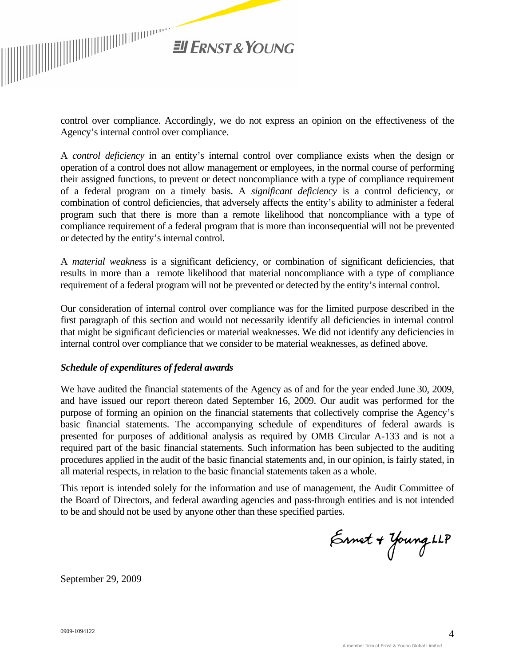

control over compliance. Accordingly, we do not express an opinion on the effectiveness of the Agency's internal control over compliance.

A *control deficiency* in an entity's internal control over compliance exists when the design or operation of a control does not allow management or employees, in the normal course of performing their assigned functions, to prevent or detect noncompliance with a type of compliance requirement of a federal program on a timely basis. A *significant deficiency* is a control deficiency, or combination of control deficiencies, that adversely affects the entity's ability to administer a federal program such that there is more than a remote likelihood that noncompliance with a type of compliance requirement of a federal program that is more than inconsequential will not be prevented or detected by the entity's internal control.

A *material weakness* is a significant deficiency, or combination of significant deficiencies, that results in more than a remote likelihood that material noncompliance with a type of compliance requirement of a federal program will not be prevented or detected by the entity's internal control.

Our consideration of internal control over compliance was for the limited purpose described in the first paragraph of this section and would not necessarily identify all deficiencies in internal control that might be significant deficiencies or material weaknesses. We did not identify any deficiencies in internal control over compliance that we consider to be material weaknesses, as defined above.

#### *Schedule of expenditures of federal awards*

We have audited the financial statements of the Agency as of and for the year ended June 30, 2009, and have issued our report thereon dated September 16, 2009. Our audit was performed for the purpose of forming an opinion on the financial statements that collectively comprise the Agency's basic financial statements. The accompanying schedule of expenditures of federal awards is presented for purposes of additional analysis as required by OMB Circular A-133 and is not a required part of the basic financial statements. Such information has been subjected to the auditing procedures applied in the audit of the basic financial statements and, in our opinion, is fairly stated, in all material respects, in relation to the basic financial statements taken as a whole.

This report is intended solely for the information and use of management, the Audit Committee of the Board of Directors, and federal awarding agencies and pass-through entities and is not intended to be and should not be used by anyone other than these specified parties.

Ennet + Young LLP

September 29, 2009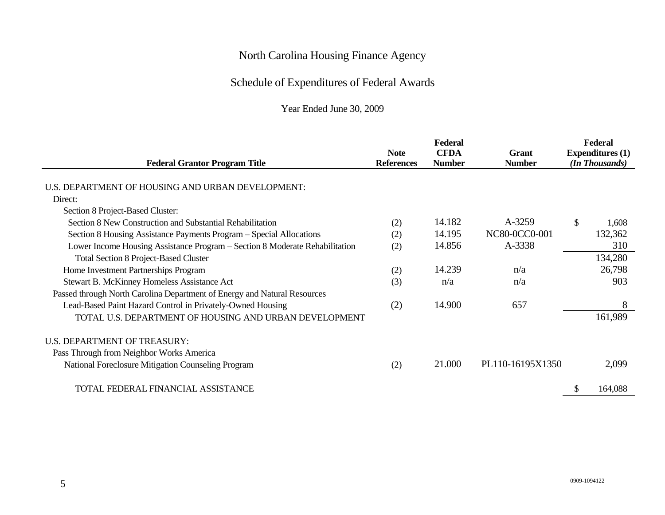# Schedule of Expenditures of Federal Awards

## Year Ended June 30, 2009

| <b>Federal Grantor Program Title</b>                                        | <b>Note</b><br><b>References</b> | Federal<br><b>CFDA</b><br><b>Number</b> | Grant<br><b>Number</b> | Federal<br><b>Expenditures (1)</b><br>(In Thousands) |         |
|-----------------------------------------------------------------------------|----------------------------------|-----------------------------------------|------------------------|------------------------------------------------------|---------|
| U.S. DEPARTMENT OF HOUSING AND URBAN DEVELOPMENT:                           |                                  |                                         |                        |                                                      |         |
| Direct:                                                                     |                                  |                                         |                        |                                                      |         |
| Section 8 Project-Based Cluster:                                            |                                  |                                         |                        |                                                      |         |
| Section 8 New Construction and Substantial Rehabilitation                   | (2)                              | 14.182                                  | A-3259                 | \$                                                   | 1,608   |
| Section 8 Housing Assistance Payments Program - Special Allocations         | (2)                              | 14.195                                  | NC80-0CC0-001          |                                                      | 132,362 |
| Lower Income Housing Assistance Program – Section 8 Moderate Rehabilitation | (2)                              | 14.856                                  | A-3338                 |                                                      | 310     |
| <b>Total Section 8 Project-Based Cluster</b>                                |                                  |                                         |                        |                                                      | 134,280 |
| Home Investment Partnerships Program                                        | (2)                              | 14.239                                  | n/a                    |                                                      | 26,798  |
| Stewart B. McKinney Homeless Assistance Act                                 | (3)                              | n/a                                     | n/a                    |                                                      | 903     |
| Passed through North Carolina Department of Energy and Natural Resources    |                                  |                                         |                        |                                                      |         |
| Lead-Based Paint Hazard Control in Privately-Owned Housing                  | (2)                              | 14.900                                  | 657                    |                                                      | 8       |
| TOTAL U.S. DEPARTMENT OF HOUSING AND URBAN DEVELOPMENT                      |                                  |                                         |                        |                                                      | 161,989 |
| <b>U.S. DEPARTMENT OF TREASURY:</b>                                         |                                  |                                         |                        |                                                      |         |
| Pass Through from Neighbor Works America                                    |                                  |                                         |                        |                                                      |         |
| National Foreclosure Mitigation Counseling Program                          | (2)                              | 21.000                                  | PL110-16195X1350       |                                                      | 2,099   |
|                                                                             |                                  |                                         |                        |                                                      |         |
| TOTAL FEDERAL FINANCIAL ASSISTANCE                                          |                                  |                                         |                        |                                                      | 164,088 |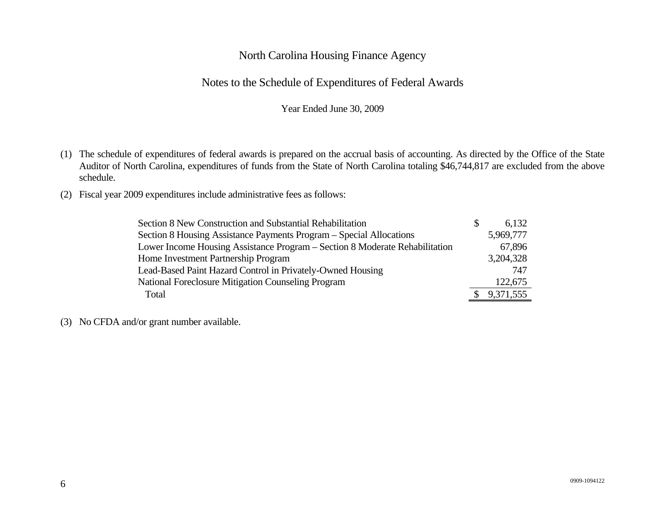## Notes to the Schedule of Expenditures of Federal Awards

Year Ended June 30, 2009

- (1) The schedule of expenditures of federal awards is prepared on the accrual basis of accounting. As directed by the Office of the State Auditor of North Carolina, expenditures of funds from the State of North Carolina totaling \$46,744,817 are excluded from the above schedule.
- (2) Fiscal year 2009 expenditures include administrative fees as follows:

| Section 8 New Construction and Substantial Rehabilitation                   | 6,132     |
|-----------------------------------------------------------------------------|-----------|
| Section 8 Housing Assistance Payments Program – Special Allocations         | 5,969,777 |
| Lower Income Housing Assistance Program – Section 8 Moderate Rehabilitation | 67,896    |
| Home Investment Partnership Program                                         | 3,204,328 |
| Lead-Based Paint Hazard Control in Privately-Owned Housing                  | 747       |
| National Foreclosure Mitigation Counseling Program                          | 122,675   |
| Total                                                                       | 9,371,555 |

(3) No CFDA and/or grant number available.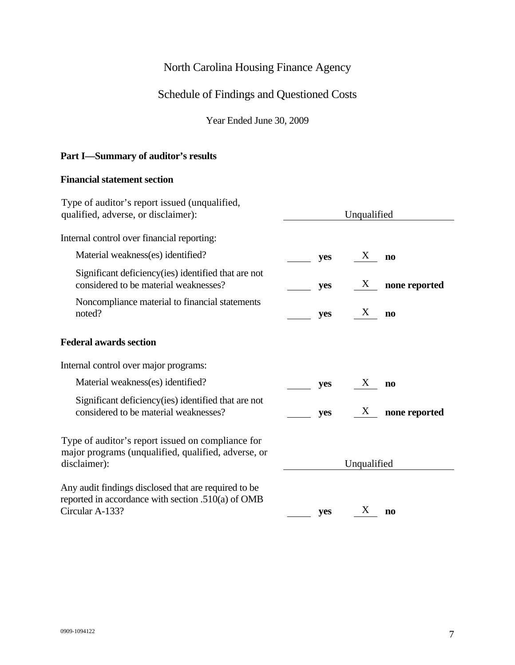# Schedule of Findings and Questioned Costs

Year Ended June 30, 2009

#### **Part I—Summary of auditor's results**

#### **Financial statement section**

| Type of auditor's report issued (unqualified,<br>qualified, adverse, or disclaimer):                                          | Unqualified |                             |  |  |
|-------------------------------------------------------------------------------------------------------------------------------|-------------|-----------------------------|--|--|
| Internal control over financial reporting:                                                                                    |             |                             |  |  |
| Material weakness(es) identified?                                                                                             | yes         | X<br>$\mathbf{n}$           |  |  |
| Significant deficiency (ies) identified that are not<br>considered to be material weaknesses?                                 | yes         | X<br>none reported          |  |  |
| Noncompliance material to financial statements<br>noted?                                                                      | yes         | X<br>$\mathbf{n}\mathbf{o}$ |  |  |
| <b>Federal awards section</b>                                                                                                 |             |                             |  |  |
| Internal control over major programs:                                                                                         |             |                             |  |  |
| Material weakness(es) identified?                                                                                             | yes         | X<br>$\mathbf{n}$           |  |  |
| Significant deficiency (ies) identified that are not<br>considered to be material weaknesses?                                 | yes         | X<br>none reported          |  |  |
| Type of auditor's report issued on compliance for<br>major programs (unqualified, qualified, adverse, or<br>disclaimer):      |             | Unqualified                 |  |  |
| Any audit findings disclosed that are required to be<br>reported in accordance with section .510(a) of OMB<br>Circular A-133? | yes         | X<br>$\mathbf{n}\mathbf{o}$ |  |  |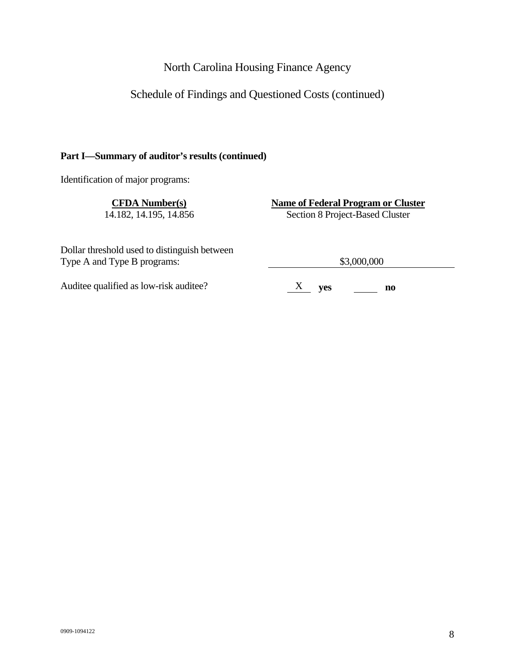Schedule of Findings and Questioned Costs (continued)

#### **Part I—Summary of auditor's results (continued)**

Identification of major programs:

**CFDA Number(s)**<br>14.182, 14.195, 14.856<br>Section 8 Project-Based Cluster

Section 8 Project-Based Cluster

Dollar threshold used to distinguish between Type A and Type B programs: \$3,000,000

Auditee qualified as low-risk auditee? <br>
X yes no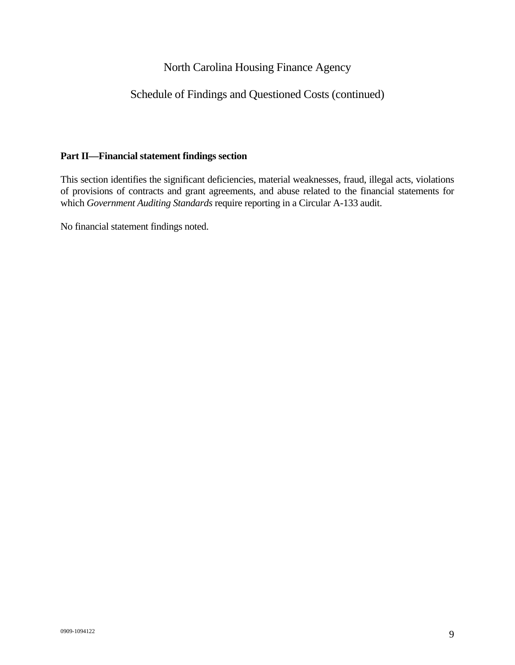## Schedule of Findings and Questioned Costs (continued)

#### **Part II—Financial statement findings section**

This section identifies the significant deficiencies, material weaknesses, fraud, illegal acts, violations of provisions of contracts and grant agreements, and abuse related to the financial statements for which *Government Auditing Standards* require reporting in a Circular A-133 audit.

No financial statement findings noted.